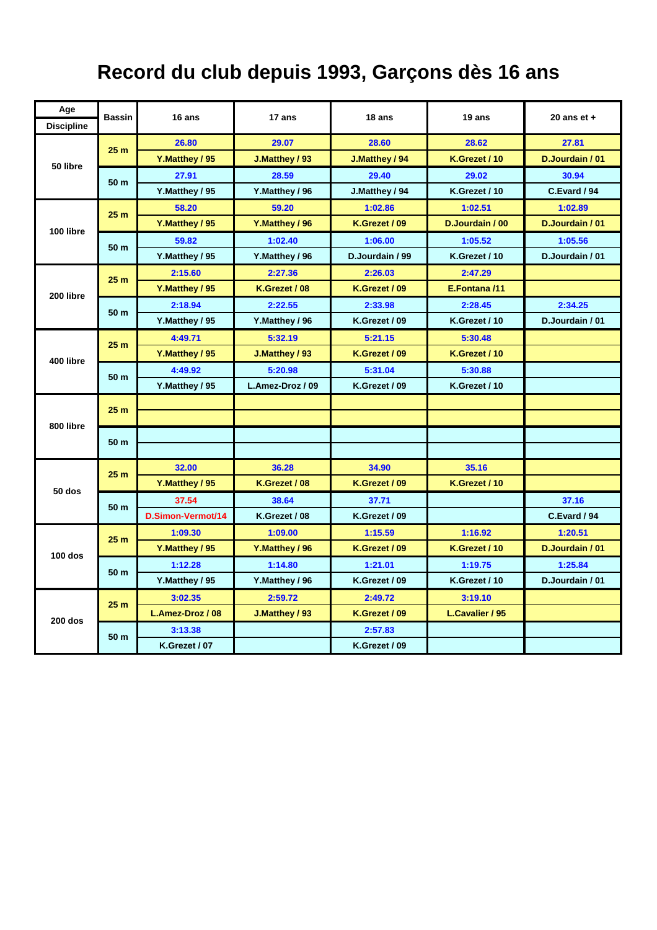## **Record du club depuis 1993, Garçons dès 16 ans**

| Age               | <b>Bassin</b>   | 16 ans            | 17 ans           | 18 ans          | 19 ans          | 20 ans $et +$   |
|-------------------|-----------------|-------------------|------------------|-----------------|-----------------|-----------------|
| <b>Discipline</b> |                 |                   |                  |                 |                 |                 |
| 50 libre          | 25 <sub>m</sub> | 26.80             | 29.07            | 28.60           | 28.62           | 27.81           |
|                   |                 | Y.Matthey / 95    | J.Matthey / 93   | J.Matthey / 94  | K.Grezet / 10   | D.Jourdain / 01 |
|                   | 50 m            | 27.91             | 28.59            | 29.40           | 29.02           | 30.94           |
|                   |                 | Y.Matthey / 95    | Y.Matthey / 96   | J.Matthey / 94  | K.Grezet / 10   | C.Evard / 94    |
| 100 libre         | 25 <sub>m</sub> | 58.20             | 59.20            | 1:02.86         | 1:02.51         | 1:02.89         |
|                   |                 | Y.Matthey / 95    | Y.Matthey / 96   | K.Grezet / 09   | D.Jourdain / 00 | D.Jourdain / 01 |
|                   | 50 m            | 59.82             | 1:02.40          | 1:06.00         | 1:05.52         | 1:05.56         |
|                   |                 | Y.Matthey / 95    | Y.Matthey / 96   | D.Jourdain / 99 | K.Grezet / 10   | D.Jourdain / 01 |
| 200 libre         | 25 <sub>m</sub> | 2:15.60           | 2:27.36          | 2:26.03         | 2:47.29         |                 |
|                   |                 | Y.Matthey / 95    | K.Grezet / 08    | K.Grezet / 09   | E.Fontana /11   |                 |
|                   | 50 m            | 2:18.94           | 2:22.55          | 2:33.98         | 2:28.45         | 2:34.25         |
|                   |                 | Y.Matthey / 95    | Y.Matthey / 96   | K.Grezet / 09   | K.Grezet / 10   | D.Jourdain / 01 |
|                   | 25 <sub>m</sub> | 4:49.71           | 5:32.19          | 5:21.15         | 5:30.48         |                 |
|                   |                 | Y.Matthey / 95    | J.Matthey / 93   | K.Grezet / 09   | K.Grezet / 10   |                 |
| 400 libre         | 50 m            | 4:49.92           | 5:20.98          | 5:31.04         | 5:30.88         |                 |
|                   |                 | Y.Matthey / 95    | L.Amez-Droz / 09 | K.Grezet / 09   | K.Grezet / 10   |                 |
| 800 libre         | 25 <sub>m</sub> |                   |                  |                 |                 |                 |
|                   |                 |                   |                  |                 |                 |                 |
|                   | 50 m            |                   |                  |                 |                 |                 |
|                   |                 |                   |                  |                 |                 |                 |
| 50 dos            | 25 <sub>m</sub> | 32.00             | 36.28            | 34.90           | 35.16           |                 |
|                   |                 | Y.Matthey / 95    | K.Grezet / 08    | K.Grezet / 09   | K.Grezet / 10   |                 |
|                   | 50 m            | 37.54             | 38.64            | 37.71           |                 | 37.16           |
|                   |                 | D.Simon-Vermot/14 | K.Grezet / 08    | K.Grezet / 09   |                 | C.Evard / 94    |
| $100$ dos         | 25 <sub>m</sub> | 1:09.30           | 1:09.00          | 1:15.59         | 1:16.92         | 1:20.51         |
|                   |                 | Y.Matthey / 95    | Y.Matthey / 96   | K.Grezet / 09   | K.Grezet / 10   | D.Jourdain / 01 |
|                   | 50 m            | 1:12.28           | 1:14.80          | 1:21.01         | 1:19.75         | 1:25.84         |
|                   |                 | Y.Matthey / 95    | Y.Matthey / 96   | K.Grezet / 09   | K.Grezet / 10   | D.Jourdain / 01 |
| $200$ dos         | 25 <sub>m</sub> | 3:02.35           | 2:59.72          | 2:49.72         | 3:19.10         |                 |
|                   |                 | L.Amez-Droz / 08  | J.Matthey / 93   | K.Grezet / 09   | L.Cavalier / 95 |                 |
|                   | 50 m            | 3:13.38           |                  | 2:57.83         |                 |                 |
|                   |                 | K.Grezet / 07     |                  | K.Grezet / 09   |                 |                 |